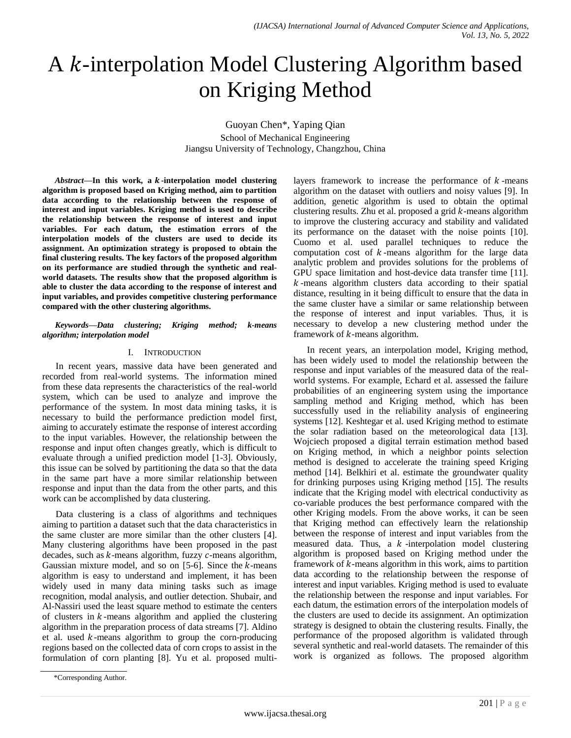# A *k*-interpolation Model Clustering Algorithm based on Kriging Method

Guoyan Chen\*, Yaping Qian School of Mechanical Engineering Jiangsu University of Technology, Changzhou, China

Abstract—In this work, a k-interpolation model clustering **algorithm is proposed based on Kriging method, aim to partition data according to the relationship between the response of interest and input variables. Kriging method is used to describe the relationship between the response of interest and input variables. For each datum, the estimation errors of the interpolation models of the clusters are used to decide its assignment. An optimization strategy is proposed to obtain the final clustering results. The key factors of the proposed algorithm on its performance are studied through the synthetic and realworld datasets. The results show that the proposed algorithm is able to cluster the data according to the response of interest and input variables, and provides competitive clustering performance compared with the other clustering algorithms.**

*Keywords—Data clustering; Kriging method; k-means algorithm; interpolation model*

# I. INTRODUCTION

In recent years, massive data have been generated and recorded from real-world systems. The information mined from these data represents the characteristics of the real-world system, which can be used to analyze and improve the performance of the system. In most data mining tasks, it is necessary to build the performance prediction model first, aiming to accurately estimate the response of interest according to the input variables. However, the relationship between the response and input often changes greatly, which is difficult to evaluate through a unified prediction model [1-3]. Obviously, this issue can be solved by partitioning the data so that the data in the same part have a more similar relationship between response and input than the data from the other parts, and this work can be accomplished by data clustering.

Data clustering is a class of algorithms and techniques aiming to partition a dataset such that the data characteristics in the same cluster are more similar than the other clusters [4]. Many clustering algorithms have been proposed in the past decades, such as  $k$ -means algorithm, fuzzy  $c$ -means algorithm, Gaussian mixture model, and so on  $[5-6]$ . Since the k-means algorithm is easy to understand and implement, it has been widely used in many data mining tasks such as image recognition, modal analysis, and outlier detection. Shubair, and Al-Nassiri used the least square method to estimate the centers of clusters in  $k$ -means algorithm and applied the clustering algorithm in the preparation process of data streams [7]. Aldino et al. used  $k$ -means algorithm to group the corn-producing regions based on the collected data of corn crops to assist in the formulation of corn planting [8]. Yu et al. proposed multi-

\*Corresponding Author.

layers framework to increase the performance of  $k$ -means algorithm on the dataset with outliers and noisy values [9]. In addition, genetic algorithm is used to obtain the optimal clustering results. Zhu et al. proposed a grid  $k$ -means algorithm to improve the clustering accuracy and stability and validated its performance on the dataset with the noise points [10]. Cuomo et al. used parallel techniques to reduce the computation cost of  $k$ -means algorithm for the large data analytic problem and provides solutions for the problems of GPU space limitation and host-device data transfer time [11].  $k$ -means algorithm clusters data according to their spatial distance, resulting in it being difficult to ensure that the data in the same cluster have a similar or same relationship between the response of interest and input variables. Thus, it is necessary to develop a new clustering method under the framework of  $k$ -means algorithm.

In recent years, an interpolation model, Kriging method, has been widely used to model the relationship between the response and input variables of the measured data of the realworld systems. For example, Echard et al. assessed the failure probabilities of an engineering system using the importance sampling method and Kriging method, which has been successfully used in the reliability analysis of engineering systems [12]. Keshtegar et al. used Kriging method to estimate the solar radiation based on the meteorological data [13]. Wojciech proposed a digital terrain estimation method based on Kriging method, in which a neighbor points selection method is designed to accelerate the training speed Kriging method [14]. Belkhiri et al. estimate the groundwater quality for drinking purposes using Kriging method [15]. The results indicate that the Kriging model with electrical conductivity as co-variable produces the best performance compared with the other Kriging models. From the above works, it can be seen that Kriging method can effectively learn the relationship between the response of interest and input variables from the measured data. Thus, a  $k$ -interpolation model clustering algorithm is proposed based on Kriging method under the framework of  $k$ -means algorithm in this work, aims to partition data according to the relationship between the response of interest and input variables. Kriging method is used to evaluate the relationship between the response and input variables. For each datum, the estimation errors of the interpolation models of the clusters are used to decide its assignment. An optimization strategy is designed to obtain the clustering results. Finally, the performance of the proposed algorithm is validated through several synthetic and real-world datasets. The remainder of this work is organized as follows. The proposed algorithm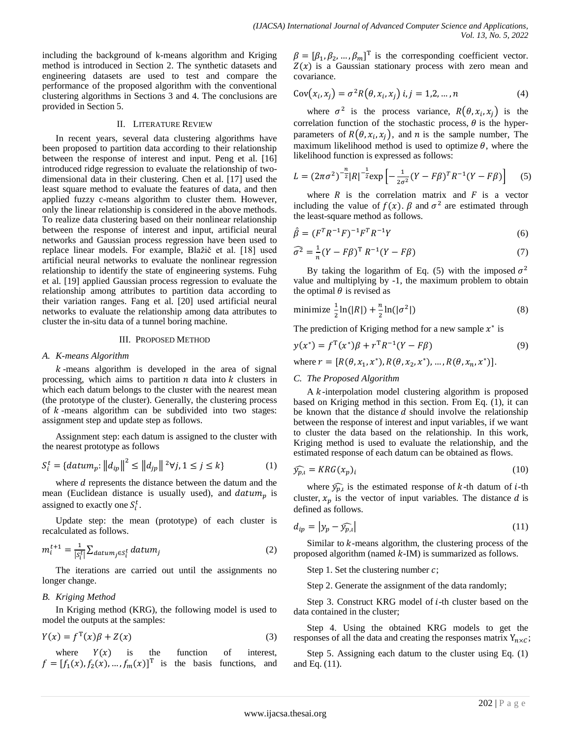including the background of k-means algorithm and Kriging method is introduced in Section 2. The synthetic datasets and engineering datasets are used to test and compare the performance of the proposed algorithm with the conventional clustering algorithms in Sections 3 and 4. The conclusions are provided in Section 5.

# II. LITERATURE REVIEW

In recent years, several data clustering algorithms have been proposed to partition data according to their relationship between the response of interest and input. Peng et al. [16] introduced ridge regression to evaluate the relationship of twodimensional data in their clustering. Chen et al. [17] used the least square method to evaluate the features of data, and then applied fuzzy c-means algorithm to cluster them. However, only the linear relationship is considered in the above methods. To realize data clustering based on their nonlinear relationship between the response of interest and input, artificial neural networks and Gaussian process regression have been used to replace linear models. For example, Blažič et al. [18] used artificial neural networks to evaluate the nonlinear regression relationship to identify the state of engineering systems. Fuhg et al. [19] applied Gaussian process regression to evaluate the relationship among attributes to partition data according to their variation ranges. Fang et al. [20] used artificial neural networks to evaluate the relationship among data attributes to cluster the in-situ data of a tunnel boring machine.

# III. PROPOSED METHOD

#### *A. K-means Algorithm*

 $k$ -means algorithm is developed in the area of signal processing, which aims to partition  $n$  data into  $k$  clusters in which each datum belongs to the cluster with the nearest mean (the prototype of the cluster). Generally, the clustering process of  $k$ -means algorithm can be subdivided into two stages: assignment step and update step as follows.

Assignment step: each datum is assigned to the cluster with the nearest prototype as follows

$$
S_i^t = \{datum_p: ||d_{ip}||^2 \le ||d_{jp}||^2 \forall j, 1 \le j \le k\}
$$
 (1)

where  $d$  represents the distance between the datum and the mean (Euclidean distance is usually used), and  $datum_n$  is assigned to exactly one  $S_i^t$ .

Update step: the mean (prototype) of each cluster is recalculated as follows.

$$
m_i^{t+1} = \frac{1}{|s_i^t|} \sum_{\text{datum}_j \in S_i^t} \text{datum}_j \tag{2}
$$

The iterations are carried out until the assignments no longer change.

# *B. Kriging Method*

In Kriging method (KRG), the following model is used to model the outputs at the samples:

$$
Y(x) = f^{T}(x)\beta + Z(x)
$$
\n(3)

where  $Y(x)$  is the function of interest,  $f = [f_1(x), f_2(x), ..., f_m(x)]^T$  is the basis functions, and

 $\beta = [\beta_1, \beta_2, ..., \beta_m]^T$  is the corresponding coefficient vector.  $Z(x)$  is a Gaussian stationary process with zero mean and covariance.

$$
Cov(xi, xj) = \sigma2 R(\theta, xi, xj) i, j = 1, 2, ..., n
$$
 (4)

where  $\sigma^2$  is the process variance,  $R(\theta, x_i, x_j)$  is the correlation function of the stochastic process,  $\theta$  is the hyperparameters of  $R(\theta, x_i, x_i)$ , and *n* is the sample number, The maximum likelihood method is used to optimize  $\theta$ , where the likelihood function is expressed as follows:

$$
L = (2\pi\sigma^2)^{-\frac{n}{2}} |R|^{-\frac{1}{2}} \exp\left[-\frac{1}{2\sigma^2} (Y - F\beta)^T R^{-1} (Y - F\beta)\right] \tag{5}
$$

where  $R$  is the correlation matrix and  $F$  is a vector including the value of  $f(x)$ .  $\beta$  and  $\sigma^2$  are estimated through the least-square method as follows.

$$
\hat{\beta} = (F^T R^{-1} F)^{-1} F^T R^{-1} Y \tag{6}
$$

$$
\widehat{\sigma^2} = \frac{1}{n} (Y - F\beta)^{\mathrm{T}} R^{-1} (Y - F\beta)
$$
\n(7)

By taking the logarithm of Eq. (5) with the imposed  $\sigma^2$ value and multiplying by -1, the maximum problem to obtain the optimal  $\theta$  is revised as

$$
\text{minimize } \frac{1}{2} \ln(|R|) + \frac{n}{2} \ln(|\sigma^2|) \tag{8}
$$

The prediction of Kriging method for a new sample  $x^*$  is

$$
y(x^*) = f^{T}(x^*)\beta + r^{T}R^{-1}(Y - F\beta)
$$
\n(9)

where  $r = [R(\theta, x_1, x^*), R(\theta, x_2, x^*), ..., R(\theta, x_n, x^*)].$ 

# *C. The Proposed Algorithm*

A  $k$ -interpolation model clustering algorithm is proposed based on Kriging method in this section. From Eq. (1), it can be known that the distance  $d$  should involve the relationship between the response of interest and input variables, if we want to cluster the data based on the relationship. In this work, Kriging method is used to evaluate the relationship, and the estimated response of each datum can be obtained as flows.

$$
\widehat{y_{p,l}} = KRG(x_p)_l \tag{10}
$$

where  $\widehat{y}_{p,\iota}$  is the estimated response of k-th datum of *i*-th cluster,  $x_p$  is the vector of input variables. The distance d is defined as follows.

$$
d_{ip} = |y_p - \widehat{y_{p,l}}| \tag{11}
$$

Similar to  $k$ -means algorithm, the clustering process of the proposed algorithm (named  $k$ -IM) is summarized as follows.

Step 1. Set the clustering number  $c$ ;

Step 2. Generate the assignment of the data randomly;

Step 3. Construct KRG model of *i*-th cluster based on the data contained in the cluster;

Step 4. Using the obtained KRG models to get the responses of all the data and creating the responses matrix  $Y_{n \times C}$ ;

Step 5. Assigning each datum to the cluster using Eq. (1) and Eq. (11).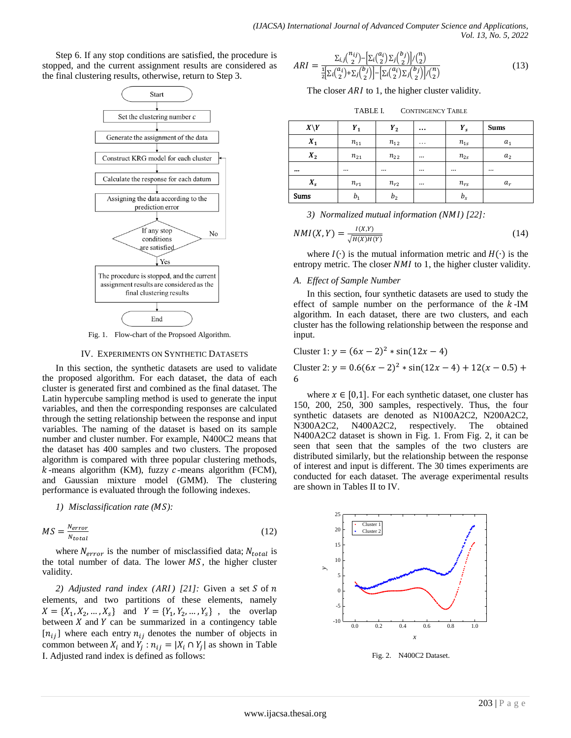Step 6. If any stop conditions are satisfied, the procedure is stopped, and the current assignment results are considered as the final clustering results, otherwise, return to Step 3.



Fig. 1. Flow-chart of the Propsoed Algorithm.

# IV. EXPERIMENTS ON SYNTHETIC DATASETS

In this section, the synthetic datasets are used to validate the proposed algorithm. For each dataset, the data of each cluster is generated first and combined as the final dataset. The Latin hypercube sampling method is used to generate the input variables, and then the corresponding responses are calculated through the setting relationship between the response and input variables. The naming of the dataset is based on its sample number and cluster number. For example, N400C2 means that the dataset has 400 samples and two clusters. The proposed algorithm is compared with three popular clustering methods,  $k$ -means algorithm (KM), fuzzy  $c$ -means algorithm (FCM), and Gaussian mixture model (GMM). The clustering performance is evaluated through the following indexes.

*1) Misclassification rate ( ):*

$$
MS = \frac{N_{error}}{N_{total}} \tag{12}
$$

where  $N_{error}$  is the number of misclassified data;  $N_{total}$  is the total number of data. The lower  $MS$ , the higher cluster validity.

2) *Adjusted rand index (ARI) [21]:* Given a set  $S$  of  $n$ elements, and two partitions of these elements, namely  $X = \{X_1, X_2, ..., X_s\}$  and  $Y = \{Y_1, Y_2, ..., Y_s\}$ , the overlap between  $X$  and  $Y$  can be summarized in a contingency table  $[n_{ij}]$  where each entry  $n_{ij}$  denotes the number of objects in common between  $X_i$  and  $Y_i$ :  $n_{ij} = |X_i \cap Y_j|$  as shown in Table I. Adjusted rand index is defined as follows:

$$
ARI = \frac{\Sigma_{i,j} \binom{n_{ij}}{2} - \left[\Sigma_i \binom{a_i}{2} \Sigma_j \binom{b_j}{2}\right] / \binom{n}{2}}{\frac{1}{2} \left[\Sigma_i \binom{a_i}{2} + \Sigma_j \binom{b_j}{2}\right] - \left[\Sigma_i \binom{a_i}{2} \Sigma_j \binom{b_j}{2}\right] / \binom{n}{2}}
$$
(13)

The closer  $ARI$  to 1, the higher cluster validity.

| TABLE L | <b>CONTINGENCY TABLE</b> |
|---------|--------------------------|
|---------|--------------------------|

| $X\backslash Y$ | $Y_1$    | $Y_2$          | $\cdots$ | $Y_{s}$  | <b>Sums</b>    |
|-----------------|----------|----------------|----------|----------|----------------|
| $X_1$           | $n_{11}$ | $n_{12}$       | $\cdots$ | $n_{1s}$ | $a_1$          |
| $X_2$           | $n_{21}$ | $n_{22}$       |          | $n_{2s}$ | a <sub>2</sub> |
|                 |          |                |          |          |                |
| $X_{\rm s}$     | $n_{r1}$ | $n_{r2}$       |          | $n_{rs}$ | $a_r$          |
| Sums            | $b_{1}$  | b <sub>2</sub> |          | $b_{s}$  |                |

*3) Normalized mutual information ( ) [22]:*

$$
NMI(X,Y) = \frac{I(X,Y)}{\sqrt{H(X)H(Y)}}\tag{14}
$$

where  $I(\cdot)$  is the mutual information metric and  $H(\cdot)$  is the entropy metric. The closer  $NMI$  to 1, the higher cluster validity.

# *A. Effect of Sample Number*

In this section, four synthetic datasets are used to study the effect of sample number on the performance of the  $k$ -IM algorithm. In each dataset, there are two clusters, and each cluster has the following relationship between the response and input.

Cluster 1: 
$$
y = (6x - 2)^2 * sin(12x - 4)
$$

Cluster 2:  $y = 0.6(6x - 2)^2 * sin(12x - 4) + 12(x - 0.5) +$ 6

where  $x \in [0,1]$ . For each synthetic dataset, one cluster has 150, 200, 250, 300 samples, respectively. Thus, the four synthetic datasets are denoted as N100A2C2, N200A2C2, N300A2C2, N400A2C2, respectively. The obtained N400A2C2 dataset is shown in Fig. 1. From Fig. 2, it can be seen that seen that the samples of the two clusters are distributed similarly, but the relationship between the response of interest and input is different. The 30 times experiments are conducted for each dataset. The average experimental results are shown in Tables II to IV.

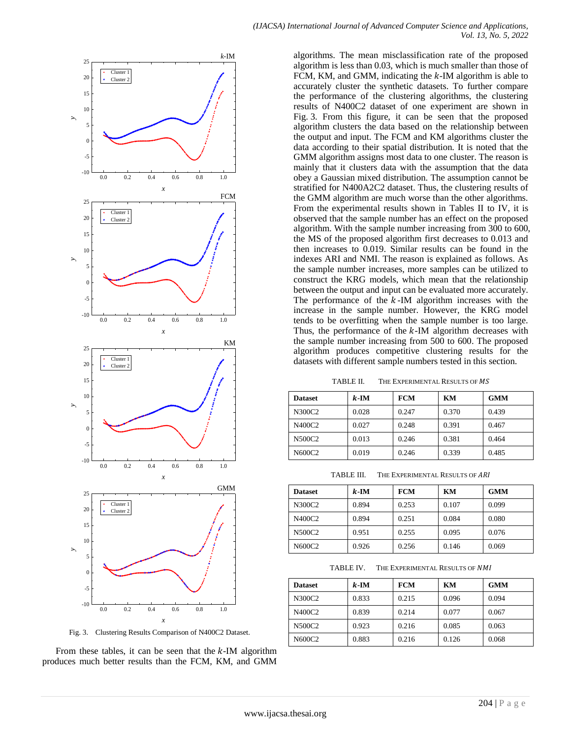

Fig. 3. Clustering Results Comparison of N400C2 Dataset.

From these tables, it can be seen that the  $k$ -IM algorithm produces much better results than the FCM, KM, and GMM algorithms. The mean misclassification rate of the proposed algorithm is less than 0.03, which is much smaller than those of FCM, KM, and GMM, indicating the  $k$ -IM algorithm is able to accurately cluster the synthetic datasets. To further compare the performance of the clustering algorithms, the clustering results of N400C2 dataset of one experiment are shown in Fig. 3. From this figure, it can be seen that the proposed algorithm clusters the data based on the relationship between the output and input. The FCM and KM algorithms cluster the data according to their spatial distribution. It is noted that the GMM algorithm assigns most data to one cluster. The reason is mainly that it clusters data with the assumption that the data obey a Gaussian mixed distribution. The assumption cannot be stratified for N400A2C2 dataset. Thus, the clustering results of the GMM algorithm are much worse than the other algorithms. From the experimental results shown in Tables II to IV, it is observed that the sample number has an effect on the proposed algorithm. With the sample number increasing from 300 to 600, the MS of the proposed algorithm first decreases to 0.013 and then increases to 0.019. Similar results can be found in the indexes ARI and NMI. The reason is explained as follows. As the sample number increases, more samples can be utilized to construct the KRG models, which mean that the relationship between the output and input can be evaluated more accurately. The performance of the  $k$ -IM algorithm increases with the increase in the sample number. However, the KRG model tends to be overfitting when the sample number is too large. Thus, the performance of the  $k$ -IM algorithm decreases with the sample number increasing from 500 to 600. The proposed algorithm produces competitive clustering results for the datasets with different sample numbers tested in this section.

TABLE II. THE EXPERIMENTAL RESULTS OF MS

| <b>Dataset</b> | $k$ -IM | <b>FCM</b> | KM    | <b>GMM</b> |
|----------------|---------|------------|-------|------------|
| N300C2         | 0.028   | 0.247      | 0.370 | 0.439      |
| N400C2         | 0.027   | 0.248      | 0.391 | 0.467      |
| N500C2         | 0.013   | 0.246      | 0.381 | 0.464      |
| N600C2         | 0.019   | 0.246      | 0.339 | 0.485      |

TABLE III. THE EXPERIMENTAL RESULTS OF ARI

| <b>Dataset</b> | $k$ -IM | <b>FCM</b> | KM    | <b>GMM</b> |
|----------------|---------|------------|-------|------------|
| N300C2         | 0.894   | 0.253      | 0.107 | 0.099      |
| N400C2         | 0.894   | 0.251      | 0.084 | 0.080      |
| N500C2         | 0.951   | 0.255      | 0.095 | 0.076      |
| N600C2         | 0.926   | 0.256      | 0.146 | 0.069      |

TABLE IV. THE EXPERIMENTAL RESULTS OF NMI

| <b>Dataset</b> | $k$ -IM | FCM   | KM    | <b>GMM</b> |
|----------------|---------|-------|-------|------------|
| N300C2         | 0.833   | 0.215 | 0.096 | 0.094      |
| N400C2         | 0.839   | 0.214 | 0.077 | 0.067      |
| N500C2         | 0.923   | 0.216 | 0.085 | 0.063      |
| N600C2         | 0.883   | 0.216 | 0.126 | 0.068      |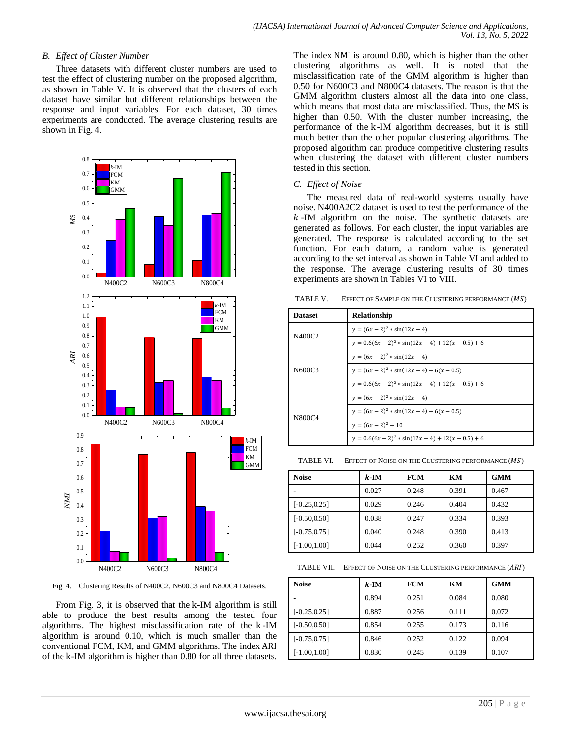# *B. Effect of Cluster Number*

Three datasets with different cluster numbers are used to test the effect of clustering number on the proposed algorithm, as shown in Table V. It is observed that the clusters of each dataset have similar but different relationships between the response and input variables. For each dataset, 30 times experiments are conducted. The average clustering results are shown in Fig. 4.



Fig. 4. Clustering Results of N400C2, N600C3 and N800C4 Datasets.

From Fig. 3, it is observed that the k-IM algorithm is still able to produce the best results among the tested four algorithms. The highest misclassification rate of the k-IM algorithm is around 0.10, which is much smaller than the conventional FCM, KM, and GMM algorithms. The index of the k-IM algorithm is higher than 0.80 for all three datasets. The index NMI is around 0.80, which is higher than the other clustering algorithms as well. It is noted that the misclassification rate of the GMM algorithm is higher than 0.50 for N600C3 and N800C4 datasets. The reason is that the GMM algorithm clusters almost all the data into one class, which means that most data are misclassified. Thus, the MS is higher than 0.50. With the cluster number increasing, the performance of the k-IM algorithm decreases, but it is still much better than the other popular clustering algorithms. The proposed algorithm can produce competitive clustering results when clustering the dataset with different cluster numbers tested in this section.

# *C. Effect of Noise*

The measured data of real-world systems usually have noise. N400A2C2 dataset is used to test the performance of the  $k$ -IM algorithm on the noise. The synthetic datasets are generated as follows. For each cluster, the input variables are generated. The response is calculated according to the set function. For each datum, a random value is generated according to the set interval as shown in Table VI and added to the response. The average clustering results of 30 times experiments are shown in Tables VI to VIII.

TABLE V. EFFECT OF SAMPLE ON THE CLUSTERING PERFORMANCE  $(MS)$ 

| <b>A-1171</b>    |                |                                                      |
|------------------|----------------|------------------------------------------------------|
| <b>FCM</b><br>KМ | <b>Dataset</b> | Relationship                                         |
| GMM              | N400C2         | $y = (6x - 2)^2 * sin(12x - 4)$                      |
|                  |                | $y = 0.6(6x - 2)^2$ * sin(12x - 4) + 12(x - 0.5) + 6 |
|                  |                | $y = (6x - 2)^2 * sin(12x - 4)$                      |
|                  | N600C3         | $y = (6x - 2)^2 * sin(12x - 4) + 6(x - 0.5)$         |
|                  |                | $y = 0.6(6x - 2)^2$ * sin(12x - 4) + 12(x - 0.5) + 6 |
|                  |                | $y = (6x - 2)^2 * sin(12x - 4)$                      |
|                  | N800C4         | $y = (6x - 2)^2 * sin(12x - 4) + 6(x - 0.5)$         |
| )C4              |                | $y = (6x - 2)^2 + 10$                                |
| $k$ -IM          |                | $y = 0.6(6x - 2)^2 * sin(12x - 4) + 12(x - 0.5) + 6$ |
|                  |                |                                                      |

 $\begin{bmatrix} KM \\ C10M \end{bmatrix}$  TABLE VI. EFFECT OF NOISE ON THE CLUSTERING PERFORMANCE  $(MS)$ 

| <b>Noise</b>    | $k$ -IM | <b>FCM</b> | KM    | <b>GMM</b> |
|-----------------|---------|------------|-------|------------|
|                 | 0.027   | 0.248      | 0.391 | 0.467      |
| $[-0.25, 0.25]$ | 0.029   | 0.246      | 0.404 | 0.432      |
| $[-0.50, 0.50]$ | 0.038   | 0.247      | 0.334 | 0.393      |
| $[-0.75, 0.75]$ | 0.040   | 0.248      | 0.390 | 0.413      |
| $[-1.00, 1.00]$ | 0.044   | 0.252      | 0.360 | 0.397      |

TABLE VII. EFFECT OF NOISE ON THE CLUSTERING PERFORMANCE  $(ARI)$ 

| <b>Noise</b>    | $k$ -IM | <b>FCM</b> | KM    | <b>GMM</b> |
|-----------------|---------|------------|-------|------------|
|                 | 0.894   | 0.251      | 0.084 | 0.080      |
| $[-0.25, 0.25]$ | 0.887   | 0.256      | 0.111 | 0.072      |
| $[-0.50, 0.50]$ | 0.854   | 0.255      | 0.173 | 0.116      |
| $[-0.75, 0.75]$ | 0.846   | 0.252      | 0.122 | 0.094      |
| $[-1.00, 1.00]$ | 0.830   | 0.245      | 0.139 | 0.107      |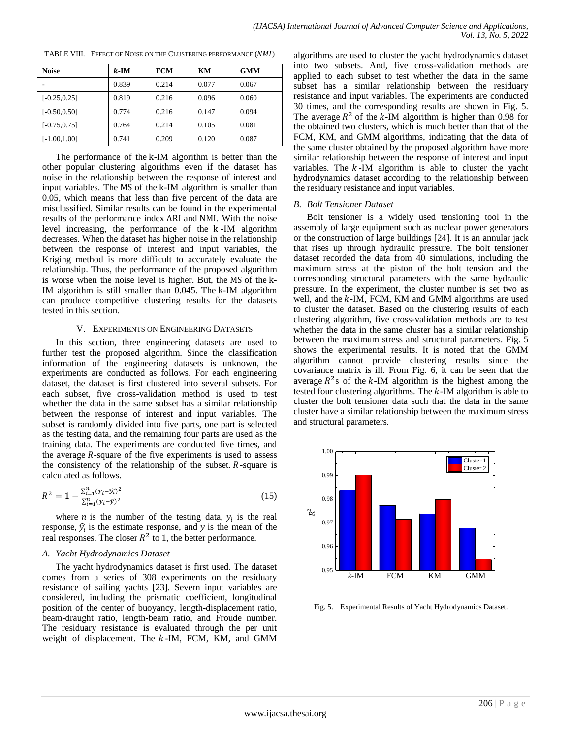| <b>Noise</b>    | $k$ -IM | <b>FCM</b> | KM    | <b>GMM</b> |
|-----------------|---------|------------|-------|------------|
|                 | 0.839   | 0.214      | 0.077 | 0.067      |
| $[-0.25, 0.25]$ | 0.819   | 0.216      | 0.096 | 0.060      |
| $[-0.50, 0.50]$ | 0.774   | 0.216      | 0.147 | 0.094      |
| $[-0.75, 0.75]$ | 0.764   | 0.214      | 0.105 | 0.081      |
| $[-1.00, 1.00]$ | 0.741   | 0.209      | 0.120 | 0.087      |

TABLE VIII. EFFECT OF NOISE ON THE CLUSTERING PERFORMANCE (NMI)

The performance of the k-IM algorithm is better than the other popular clustering algorithms even if the dataset has noise in the relationship between the response of interest and input variables. The MS of the k-IM algorithm is smaller than 0.05, which means that less than five percent of the data are misclassified. Similar results can be found in the experimental results of the performance index ARI and NMI. With the noise level increasing, the performance of the  $k$ -IM algorithm decreases. When the dataset has higher noise in the relationship between the response of interest and input variables, the Kriging method is more difficult to accurately evaluate the relationship. Thus, the performance of the proposed algorithm is worse when the noise level is higher. But, the MS of the k-IM algorithm is still smaller than 0.045. The k-IM algorithm can produce competitive clustering results for the datasets tested in this section.

#### V. EXPERIMENTS ON ENGINEERING DATASETS

In this section, three engineering datasets are used to further test the proposed algorithm. Since the classification information of the engineering datasets is unknown, the experiments are conducted as follows. For each engineering dataset, the dataset is first clustered into several subsets. For each subset, five cross-validation method is used to test whether the data in the same subset has a similar relationship between the response of interest and input variables. The subset is randomly divided into five parts, one part is selected as the testing data, and the remaining four parts are used as the training data. The experiments are conducted five times, and the average *-square of the five experiments is used to assess* the consistency of the relationship of the subset.  $R$ -square is calculated as follows.

$$
R^{2} = 1 - \frac{\sum_{i=1}^{n} (y_{i} - \widehat{y}_{i})^{2}}{\sum_{i=1}^{n} (y_{i} - \widehat{y})^{2}}
$$
(15)

where *n* is the number of the testing data,  $y_i$  is the real response,  $\hat{y}_i$  is the estimate response, and  $\bar{y}$  is the mean of the real responses. The closer  $R^2$  to 1, the better performance.

# *A. Yacht Hydrodynamics Dataset*

The yacht hydrodynamics dataset is first used. The dataset comes from a series of 308 experiments on the residuary resistance of sailing yachts [23]. Severn input variables are considered, including the prismatic coefficient, longitudinal position of the center of buoyancy, length-displacement ratio, beam-draught ratio, length-beam ratio, and Froude number. The residuary resistance is evaluated through the per unit weight of displacement. The  $k$ -IM, FCM, KM, and GMM

algorithms are used to cluster the yacht hydrodynamics dataset into two subsets. And, five cross-validation methods are applied to each subset to test whether the data in the same subset has a similar relationship between the residuary resistance and input variables. The experiments are conducted 30 times, and the corresponding results are shown in Fig. 5. The average  $R^2$  of the k-IM algorithm is higher than 0.98 for the obtained two clusters, which is much better than that of the FCM, KM, and GMM algorithms, indicating that the data of the same cluster obtained by the proposed algorithm have more similar relationship between the response of interest and input variables. The  $k$ -IM algorithm is able to cluster the yacht hydrodynamics dataset according to the relationship between the residuary resistance and input variables.

#### *B. Bolt Tensioner Dataset*

Bolt tensioner is a widely used tensioning tool in the assembly of large equipment such as nuclear power generators or the construction of large buildings [24]. It is an annular jack that rises up through hydraulic pressure. The bolt tensioner dataset recorded the data from 40 simulations, including the maximum stress at the piston of the bolt tension and the corresponding structural parameters with the same hydraulic pressure. In the experiment, the cluster number is set two as well, and the  $k$ -IM, FCM, KM and GMM algorithms are used to cluster the dataset. Based on the clustering results of each clustering algorithm, five cross-validation methods are to test whether the data in the same cluster has a similar relationship between the maximum stress and structural parameters. Fig. 5 shows the experimental results. It is noted that the GMM algorithm cannot provide clustering results since the covariance matrix is ill. From Fig. 6, it can be seen that the average  $R^2$ s of the k-IM algorithm is the highest among the tested four clustering algorithms. The  $k$ -IM algorithm is able to cluster the bolt tensioner data such that the data in the same cluster have a similar relationship between the maximum stress and structural parameters.



Fig. 5. Experimental Results of Yacht Hydrodynamics Dataset.